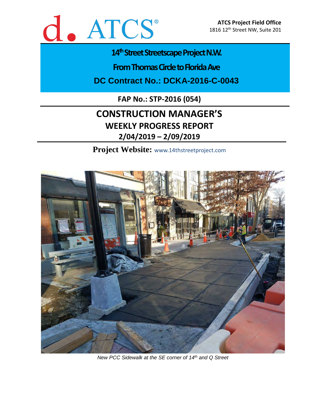

# 14<sup>th</sup> Street Streetscape Project N.W.

**From Thomas Circle to Florida Ave** 

**DC Contract No.: DCKA-2016-C-0043**

**FAP No.: STP-2016 (054)**

# **CONSTRUCTION MANAGER'S WEEKLY PROGRESS REPORT 2/04/2019 – 2/09/2019**

**Project Website:** www.14thstreetproject.com



*New PCC Sidewalk at the SE corner of 14th and Q Street*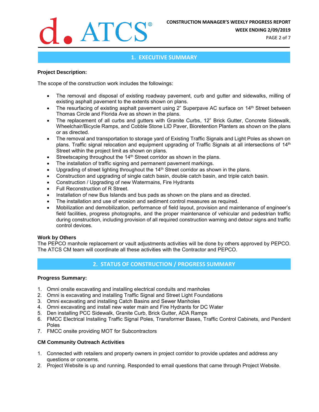

**WEEK ENDING 2/09/2019**

PAGE 2 of 7

# **1. EXECUTIVE SUMMARY**

## **Project Description:**

The scope of the construction work includes the followings:

- The removal and disposal of existing roadway pavement, curb and gutter and sidewalks, milling of existing asphalt pavement to the extents shown on plans.
- The resurfacing of existing asphalt pavement using 2" Superpave AC surface on 14<sup>th</sup> Street between Thomas Circle and Florida Ave as shown in the plans.
- The replacement of all curbs and gutters with Granite Curbs, 12" Brick Gutter, Concrete Sidewalk, Wheelchair/Bicycle Ramps, and Cobble Stone LID Paver, Bioretention Planters as shown on the plans or as directed.
- The removal and transportation to storage yard of Existing Traffic Signals and Light Poles as shown on plans. Traffic signal relocation and equipment upgrading of Traffic Signals at all intersections of 14<sup>th</sup> Street within the project limit as shown on plans.
- Streetscaping throughout the 14<sup>th</sup> Street corridor as shown in the plans.
- The installation of traffic signing and permanent pavement markings.
- Upgrading of street lighting throughout the 14<sup>th</sup> Street corridor as shown in the plans.
- Construction and upgrading of single catch basin, double catch basin, and triple catch basin.
- Construction / Upgrading of new Watermains, Fire Hydrants
- Full Reconstruction of R Street.
- Installation of new Bus Islands and bus pads as shown on the plans and as directed.
- The installation and use of erosion and sediment control measures as required.
- Mobilization and demobilization, performance of field layout, provision and maintenance of engineer's field facilities, progress photographs, and the proper maintenance of vehicular and pedestrian traffic during construction, including provision of all required construction warning and detour signs and traffic control devices.

# **Work by Others**

The PEPCO manhole replacement or vault adjustments activities will be done by others approved by PEPCO. The ATCS CM team will coordinate all these activities with the Contractor and PEPCO.

# **2. STATUS OF CONSTRUCTION / PROGRESS SUMMARY**

# **Progress Summary:**

- 1. Omni onsite excavating and installing electrical conduits and manholes
- 2. Omni is excavating and installing Traffic Signal and Street Light Foundations
- 3. Omni excavating and installing Catch Basins and Sewer Manholes
- 4. Omni excavating and install new water main and Fire Hydrants for DC Water
- 5. Den installing PCC Sidewalk, Granite Curb, Brick Gutter, ADA Ramps
- 6. FMCC Electrical Installing Traffic Signal Poles, Transformer Bases, Traffic Control Cabinets, and Pendent Poles
- 7. FMCC onsite providing MOT for Subcontractors

# **CM Community Outreach Activities**

- 1. Connected with retailers and property owners in project corridor to provide updates and address any questions or concerns.
- 2. Project Website is up and running. Responded to email questions that came through Project Website.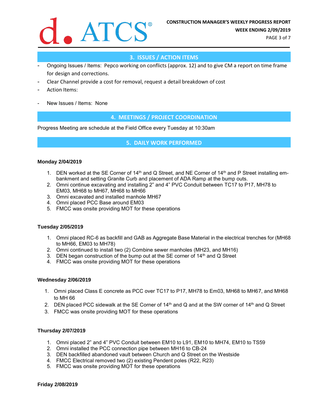

PAGE 3 of 7

## **3. ISSUES / ACTION ITEMS**

- Ongoing Issues / Items: Pepco working on conflicts (approx. 12) and to give CM a report on time frame for design and corrections.
- Clear Channel provide a cost for removal, request a detail breakdown of cost
- Action Items:
- New Issues / Items: None

#### **4. MEETINGS / PROJECT COORDINATION**

Progress Meeting are schedule at the Field Office every Tuesday at 10:30am

#### **5. DAILY WORK PERFORMED**

#### **Monday 2/04/2019**

- 1. DEN worked at the SE Corner of 14<sup>th</sup> and Q Street, and NE Corner of 14<sup>th</sup> and P Street installing embankment and setting Granite Curb and placement of ADA Ramp at the bump outs.
- 2. Omni continue excavating and installing 2" and 4" PVC Conduit between TC17 to P17, MH78 to EM03, MH68 to MH67, MH68 to MH66
- 3. Omni excavated and installed manhole MH67
- 4. Omni placed PCC Base around EM03
- 5. FMCC was onsite providing MOT for these operations

#### **Tuesday 2/05/2019**

- 1. Omni placed RC-6 as backfill and GAB as Aggregate Base Material in the electrical trenches for (MH68 to MH66, EM03 to MH78)
- 2. Omni continued to install two (2) Combine sewer manholes (MH23, and MH16)
- 3. DEN began construction of the bump out at the SE corner of  $14<sup>th</sup>$  and Q Street
- 4. FMCC was onsite providing MOT for these operations

#### **Wednesday 2/06/2019**

- 1. Omni placed Class E concrete as PCC over TC17 to P17, MH78 to Em03, MH68 to MH67, and MH68 to MH 66
- 2. DEN placed PCC sidewalk at the SE Corner of  $14<sup>th</sup>$  and Q and at the SW corner of  $14<sup>th</sup>$  and Q Street
- 3. FMCC was onsite providing MOT for these operations

#### **Thursday 2/07/2019**

- 1. Omni placed 2" and 4" PVC Conduit between EM10 to L91, EM10 to MH74, EM10 to TS59
- 2. Omni installed the PCC connection pipe between MH16 to CB-24
- 3. DEN backfilled abandoned vault between Church and Q Street on the Westside
- 4. FMCC Electrical removed two (2) existing Pendent poles (R22, R23)
- 5. FMCC was onsite providing MOT for these operations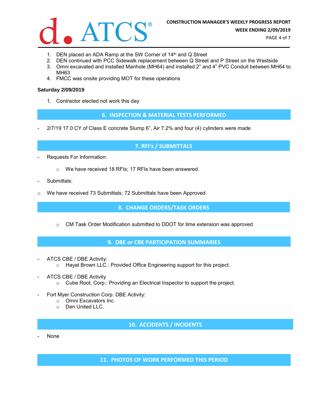

PAGE 4 of 7

- 1. DEN placed an ADA Ramp at the SW Corner of 14<sup>th</sup> and Q Street
- 2. DEN continued with PCC Sidewalk replacement between Q Street and P Street on the Westside
- 3. Omni excavated and installed Manhole (MH64) and installed 2" and 4" PVC Conduit between MH64 to MH63
- 4. FMCC was onsite providing MOT for these operations

#### **Saturday 2/09/2019**

1. Contractor elected not work this day

**6. INSPECTION & MATERIAL TESTS PERFORMED**

2/7/19 17.0 CY of Class E concrete Slump 6", Air 7.2% and four (4) cylinders were made

### **7. RFI's / SUBMITTALS**

- Requests For Information:
	- o We have received 18 RFIs; 17 RFIs have been answered.
- Submittals:
- o We have received 73 Submittals; 72 Submittals have been Approved

**8. CHANGE ORDERS/TASK ORDERS**

o CM Task Order Modification submitted to DDOT for time extension was approved

**9. DBE or CBE PARTICIPATION SUMMARIES**

- ATCS CBE / DBE Activity:
	- o Hayat Brown LLC.: Provided Office Engineering support for this project.
- ATCS CBE / DBE Activity
	- o Cube Root, Corp.: Providing an Electrical Inspector to support the project.
- Fort Myer Construction Corp. DBE Activity:
	- o Omni Excavators Inc.
	- o Den United LLC.

**10. ACCIDENTS / INCIDENTS**

- None

**11. PHOTOS OF WORK PERFORMED THIS PERIOD**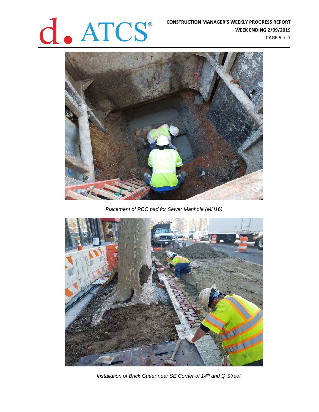

**WEEK ENDING 2/09/2019** PAGE 5 of 7



*Placement of PCC pad for Sewer Manhole (MH16)*



*Installation of Brick Gutter near SE Corner of 14th and Q Street*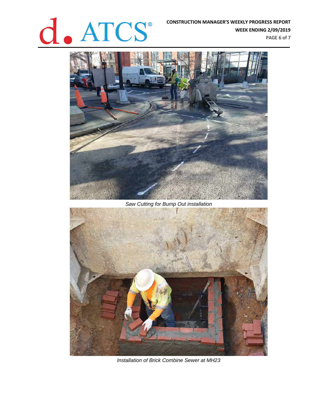# **CONSTRUCTION MANAGER'S WEEKLY PROGRESS REPORT**<br>WEEK ENDING 2/09/2019

**WEEK ENDING 2/09/2019** PAGE 6 of 7



*Saw Cutting for Bump Out installation* 



*Installation of Brick Combine Sewer at MH23*